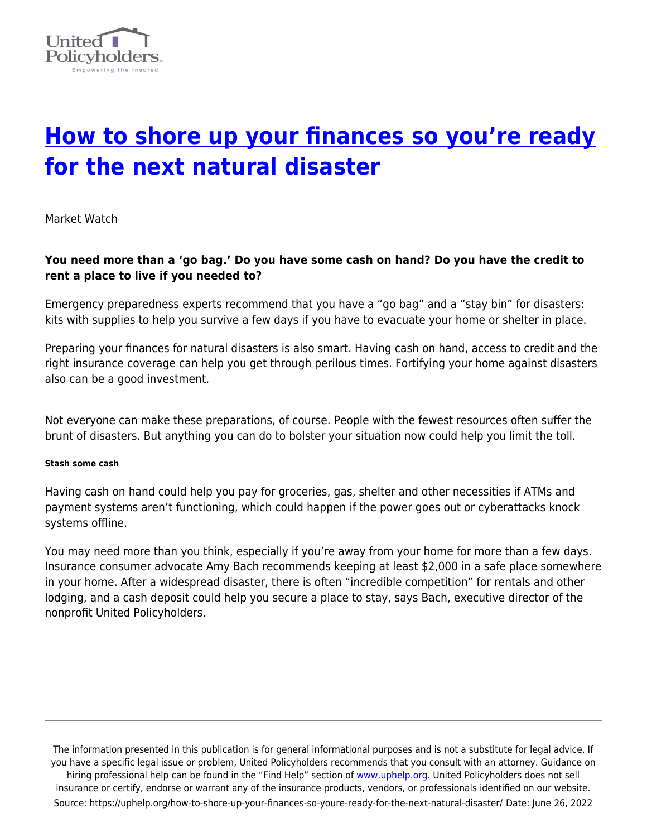

# **[How to shore up your finances so you're ready](https://uphelp.org/how-to-shore-up-your-finances-so-youre-ready-for-the-next-natural-disaster/) [for the next natural disaster](https://uphelp.org/how-to-shore-up-your-finances-so-youre-ready-for-the-next-natural-disaster/)**

Market Watch

# **You need more than a 'go bag.' Do you have some cash on hand? Do you have the credit to rent a place to live if you needed to?**

Emergency preparedness experts recommend that you have a "go bag" and a "stay bin" for disasters: kits with supplies to help you survive a few days if you have to evacuate your home or shelter in place.

Preparing your finances for natural disasters is also smart. Having cash on hand, access to credit and the right insurance coverage can help you get through perilous times. Fortifying your home against disasters also can be a good investment.

Not everyone can make these preparations, of course. People with the fewest resources often suffer the brunt of disasters. But anything you can do to bolster your situation now could help you limit the toll.

# **Stash some cash**

Having cash on hand could help you pay for groceries, gas, shelter and other necessities if ATMs and payment systems aren't functioning, which could happen if the power goes out or cyberattacks knock systems offline.

You may need more than you think, especially if you're away from your home for more than a few days. Insurance consumer advocate Amy Bach recommends keeping at least \$2,000 in a safe place somewhere in your home. After a widespread disaster, there is often "incredible competition" for rentals and other lodging, and a cash deposit could help you secure a place to stay, says Bach, executive director of the nonprofit United Policyholders.

The information presented in this publication is for general informational purposes and is not a substitute for legal advice. If you have a specific legal issue or problem, United Policyholders recommends that you consult with an attorney. Guidance on hiring professional help can be found in the "Find Help" section of [www.uphelp.org.](http://www.uphelp.org/) United Policyholders does not sell insurance or certify, endorse or warrant any of the insurance products, vendors, or professionals identified on our website. Source: https://uphelp.org/how-to-shore-up-your-finances-so-youre-ready-for-the-next-natural-disaster/ Date: June 26, 2022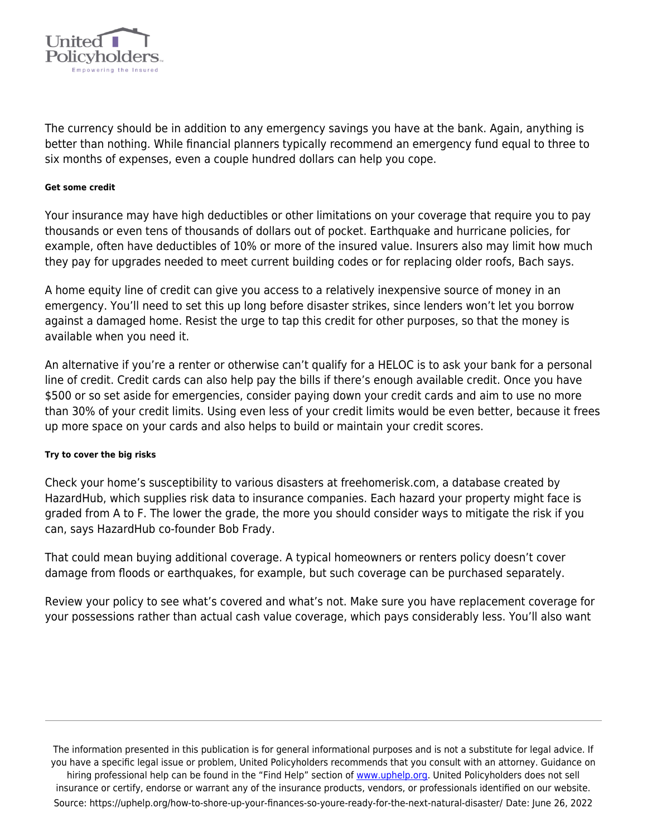

The currency should be in addition to any emergency savings you have at the bank. Again, anything is better than nothing. While financial planners typically recommend an emergency fund equal to three to six months of expenses, even a couple hundred dollars can help you cope.

#### **Get some credit**

Your insurance may have high deductibles or other limitations on your coverage that require you to pay thousands or even tens of thousands of dollars out of pocket. Earthquake and hurricane policies, for example, often have deductibles of 10% or more of the insured value. Insurers also may limit how much they pay for upgrades needed to meet current building codes or for replacing older roofs, Bach says.

A home equity line of credit can give you access to a relatively inexpensive source of money in an emergency. You'll need to set this up long before disaster strikes, since lenders won't let you borrow against a damaged home. Resist the urge to tap this credit for other purposes, so that the money is available when you need it.

An alternative if you're a renter or otherwise can't qualify for a HELOC is to ask your bank for a personal line of credit. Credit cards can also help pay the bills if there's enough available credit. Once you have \$500 or so set aside for emergencies, consider paying down your credit cards and aim to use no more than 30% of your credit limits. Using even less of your credit limits would be even better, because it frees up more space on your cards and also helps to build or maintain your credit scores.

# **Try to cover the big risks**

Check your home's susceptibility to various disasters at freehomerisk.com, a database created by HazardHub, which supplies risk data to insurance companies. Each hazard your property might face is graded from A to F. The lower the grade, the more you should consider ways to mitigate the risk if you can, says HazardHub co-founder Bob Frady.

That could mean buying additional coverage. A typical homeowners or renters policy doesn't cover damage from floods or earthquakes, for example, but such coverage can be purchased separately.

Review your policy to see what's covered and what's not. Make sure you have replacement coverage for your possessions rather than actual cash value coverage, which pays considerably less. You'll also want

The information presented in this publication is for general informational purposes and is not a substitute for legal advice. If you have a specific legal issue or problem, United Policyholders recommends that you consult with an attorney. Guidance on hiring professional help can be found in the "Find Help" section of [www.uphelp.org.](http://www.uphelp.org/) United Policyholders does not sell insurance or certify, endorse or warrant any of the insurance products, vendors, or professionals identified on our website. Source: https://uphelp.org/how-to-shore-up-your-finances-so-youre-ready-for-the-next-natural-disaster/ Date: June 26, 2022